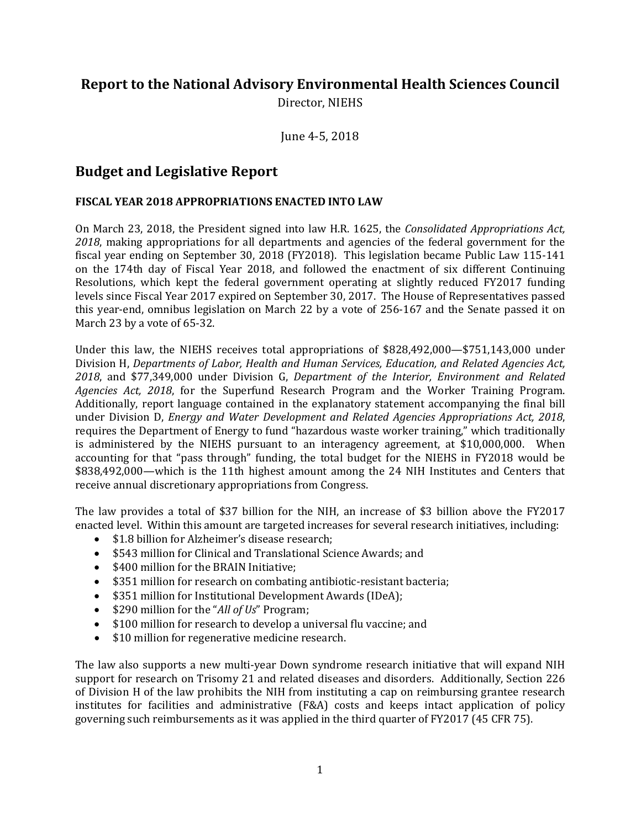# **Report to the National Advisory Environmental Health Sciences Council**

Director, NIEHS

June 4-5, 2018

# **Budget and Legislative Report**

## **FISCAL YEAR 2018 APPROPRIATIONS ENACTED INTO LAW**

On March 23, 2018, the President signed into law H.R. 1625, the *Consolidated Appropriations Act, 2018*, making appropriations for all departments and agencies of the federal government for the fiscal year ending on September 30, 2018 (FY2018). This legislation became Public Law 115-141 on the 174th day of Fiscal Year 2018, and followed the enactment of six different Continuing Resolutions, which kept the federal government operating at slightly reduced FY2017 funding levels since Fiscal Year 2017 expired on September 30, 2017. The House of Representatives passed this year-end, omnibus legislation on March 22 by a vote of 256-167 and the Senate passed it on March 23 by a vote of 65-32.

Under this law, the NIEHS receives total appropriations of \$828,492,000—\$751,143,000 under Division H, *Departments of Labor, Health and Human Services, Education, and Related Agencies Act, 2018*, and \$77,349,000 under Division G, *Department of the Interior, Environment and Related Agencies Act, 2018*, for the Superfund Research Program and the Worker Training Program. Additionally, report language contained in the explanatory statement accompanying the final bill under Division D, *Energy and Water Development and Related Agencies Appropriations Act, 2018*, requires the Department of Energy to fund "hazardous waste worker training," which traditionally is administered by the NIEHS pursuant to an interagency agreement, at \$10,000,000. When accounting for that "pass through" funding, the total budget for the NIEHS in FY2018 would be \$838,492,000—which is the 11th highest amount among the 24 NIH Institutes and Centers that receive annual discretionary appropriations from Congress.

The law provides a total of \$37 billion for the NIH, an increase of \$3 billion above the FY2017 enacted level. Within this amount are targeted increases for several research initiatives, including:

- \$1.8 billion for Alzheimer's disease research;
- \$543 million for Clinical and Translational Science Awards; and
- \$400 million for the BRAIN Initiative;
- \$351 million for research on combating antibiotic-resistant bacteria;
- \$351 million for Institutional Development Awards (IDeA);
- \$290 million for the "*All of Us*" Program;
- \$100 million for research to develop a universal flu vaccine; and
- \$10 million for regenerative medicine research.

The law also supports a new multi-year Down syndrome research initiative that will expand NIH support for research on Trisomy 21 and related diseases and disorders. Additionally, Section 226 of Division H of the law prohibits the NIH from instituting a cap on reimbursing grantee research institutes for facilities and administrative (F&A) costs and keeps intact application of policy governing such reimbursements as it was applied in the third quarter of FY2017 (45 CFR 75).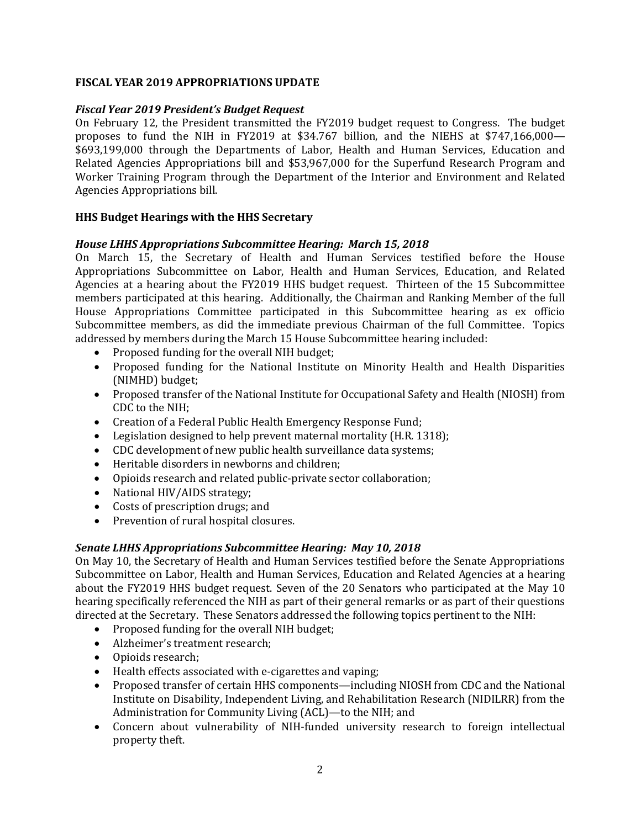### **FISCAL YEAR 2019 APPROPRIATIONS UPDATE**

### *Fiscal Year 2019 President's Budget Request*

On February 12, the President transmitted the FY2019 budget request to Congress. The budget proposes to fund the NIH in FY2019 at \$34.767 billion, and the NIEHS at \$747,166,000— \$693,199,000 through the Departments of Labor, Health and Human Services, Education and Related Agencies Appropriations bill and \$53,967,000 for the Superfund Research Program and Worker Training Program through the Department of the Interior and Environment and Related Agencies Appropriations bill.

### **HHS Budget Hearings with the HHS Secretary**

#### *House LHHS Appropriations Subcommittee Hearing: March 15, 2018*

On March 15, the Secretary of Health and Human Services testified before the House Appropriations Subcommittee on Labor, Health and Human Services, Education, and Related Agencies at a hearing about the FY2019 HHS budget request. Thirteen of the 15 Subcommittee members participated at this hearing. Additionally, the Chairman and Ranking Member of the full House Appropriations Committee participated in this Subcommittee hearing as ex officio Subcommittee members, as did the immediate previous Chairman of the full Committee. Topics addressed by members during the March 15 House Subcommittee hearing included:

- Proposed funding for the overall NIH budget;
- Proposed funding for the National Institute on Minority Health and Health Disparities (NIMHD) budget;
- Proposed transfer of the National Institute for Occupational Safety and Health (NIOSH) from CDC to the NIH;
- Creation of a Federal Public Health Emergency Response Fund;
- Legislation designed to help prevent maternal mortality (H.R. 1318);
- CDC development of new public health surveillance data systems:
- Heritable disorders in newborns and children;
- Opioids research and related public-private sector collaboration;
- National HIV/AIDS strategy;
- Costs of prescription drugs; and
- Prevention of rural hospital closures.

#### *Senate LHHS Appropriations Subcommittee Hearing: May 10, 2018*

On May 10, the Secretary of Health and Human Services testified before the Senate Appropriations Subcommittee on Labor, Health and Human Services, Education and Related Agencies at a hearing about the FY2019 HHS budget request. Seven of the 20 Senators who participated at the May 10 hearing specifically referenced the NIH as part of their general remarks or as part of their questions directed at the Secretary. These Senators addressed the following topics pertinent to the NIH:

- Proposed funding for the overall NIH budget;
- Alzheimer's treatment research;
- Opioids research:
- Health effects associated with e-cigarettes and vaping;
- Proposed transfer of certain HHS components—including NIOSH from CDC and the National Institute on Disability, Independent Living, and Rehabilitation Research (NIDILRR) from the Administration for Community Living (ACL)—to the NIH; and
- Concern about vulnerability of NIH-funded university research to foreign intellectual property theft.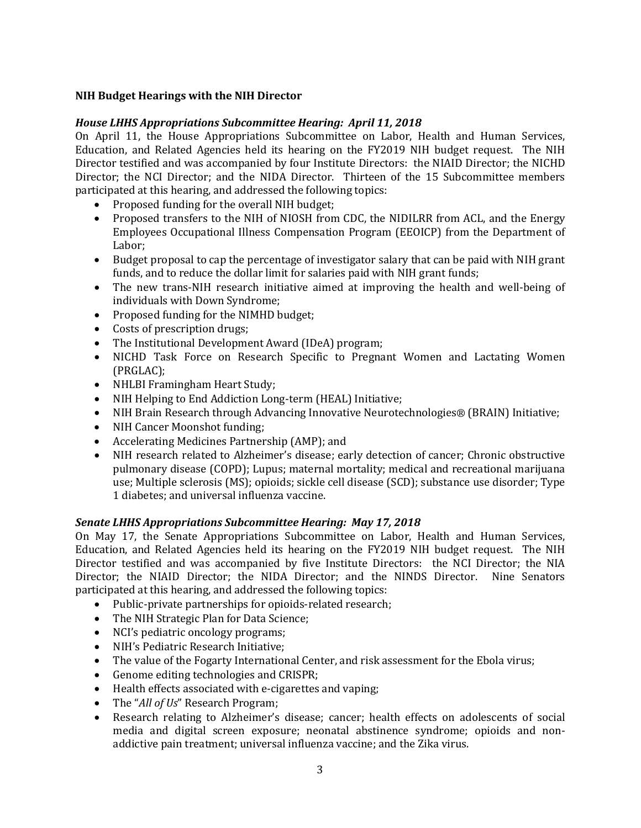### **NIH Budget Hearings with the NIH Director**

#### *House LHHS Appropriations Subcommittee Hearing: April 11, 2018*

On April 11, the House Appropriations Subcommittee on Labor, Health and Human Services, Education, and Related Agencies held its hearing on the FY2019 NIH budget request. The NIH Director testified and was accompanied by four Institute Directors: the NIAID Director; the NICHD Director; the NCI Director; and the NIDA Director. Thirteen of the 15 Subcommittee members participated at this hearing, and addressed the following topics:

- Proposed funding for the overall NIH budget;
- Proposed transfers to the NIH of NIOSH from CDC, the NIDILRR from ACL, and the Energy Employees Occupational Illness Compensation Program (EEOICP) from the Department of Labor;
- Budget proposal to cap the percentage of investigator salary that can be paid with NIH grant funds, and to reduce the dollar limit for salaries paid with NIH grant funds;
- The new trans-NIH research initiative aimed at improving the health and well-being of individuals with Down Syndrome;
- Proposed funding for the NIMHD budget;
- Costs of prescription drugs;
- The Institutional Development Award (IDeA) program;
- NICHD Task Force on Research Specific to Pregnant Women and Lactating Women (PRGLAC);
- NHLBI Framingham Heart Study;
- NIH Helping to End Addiction Long-term (HEAL) Initiative;
- NIH Brain Research through Advancing Innovative Neurotechnologies® (BRAIN) Initiative;
- NIH Cancer Moonshot funding;
- Accelerating Medicines Partnership (AMP); and
- NIH research related to Alzheimer's disease; early detection of cancer; Chronic obstructive pulmonary disease (COPD); Lupus; maternal mortality; medical and recreational marijuana use; Multiple sclerosis (MS); opioids; sickle cell disease (SCD); substance use disorder; Type 1 diabetes; and universal influenza vaccine.

#### *Senate LHHS Appropriations Subcommittee Hearing: May 17, 2018*

On May 17, the Senate Appropriations Subcommittee on Labor, Health and Human Services, Education, and Related Agencies held its hearing on the FY2019 NIH budget request. The NIH Director testified and was accompanied by five Institute Directors: the NCI Director; the NIA Director; the NIAID Director; the NIDA Director; and the NINDS Director. Nine Senators participated at this hearing, and addressed the following topics:

- Public-private partnerships for opioids-related research;
- The NIH Strategic Plan for Data Science;
- NCI's pediatric oncology programs;
- NIH's Pediatric Research Initiative;
- The value of the Fogarty International Center, and risk assessment for the Ebola virus;
- Genome editing technologies and CRISPR;
- Health effects associated with e-cigarettes and vaping;
- The "*All of Us*" Research Program;
- Research relating to Alzheimer's disease; cancer; health effects on adolescents of social media and digital screen exposure; neonatal abstinence syndrome; opioids and nonaddictive pain treatment; universal influenza vaccine; and the Zika virus.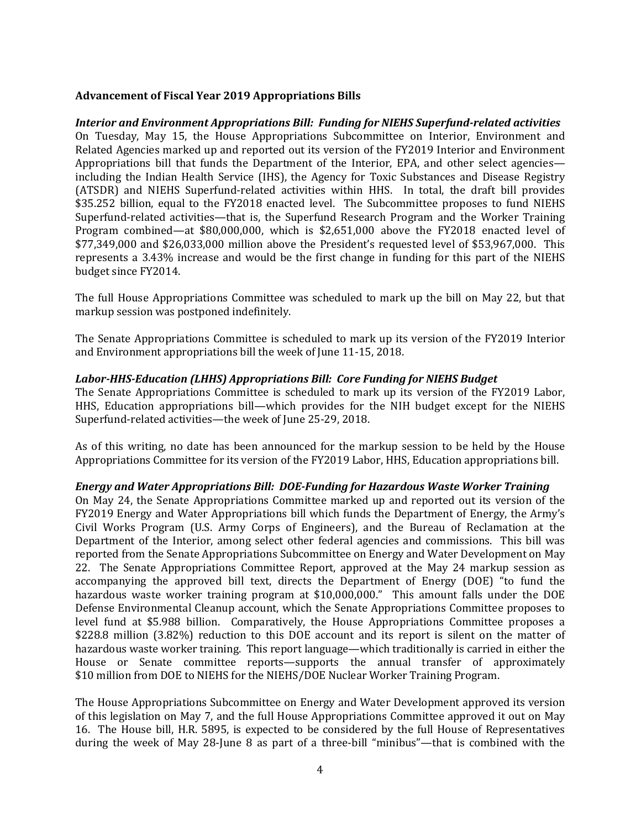#### **Advancement of Fiscal Year 2019 Appropriations Bills**

*Interior and Environment Appropriations Bill: Funding for NIEHS Superfund-related activities*  On Tuesday, May 15, the House Appropriations Subcommittee on Interior, Environment and Related Agencies marked up and reported out its version of the FY2019 Interior and Environment Appropriations bill that funds the Department of the Interior, EPA, and other select agencies including the Indian Health Service (IHS), the Agency for Toxic Substances and Disease Registry (ATSDR) and NIEHS Superfund-related activities within HHS. In total, the draft bill provides \$35.252 billion, equal to the FY2018 enacted level. The Subcommittee proposes to fund NIEHS Superfund-related activities—that is, the Superfund Research Program and the Worker Training Program combined—at \$80,000,000, which is \$2,651,000 above the FY2018 enacted level of \$77,349,000 and \$26,033,000 million above the President's requested level of \$53,967,000. This represents a 3.43% increase and would be the first change in funding for this part of the NIEHS budget since FY2014.

The full House Appropriations Committee was scheduled to mark up the bill on May 22, but that markup session was postponed indefinitely.

The Senate Appropriations Committee is scheduled to mark up its version of the FY2019 Interior and Environment appropriations bill the week of June 11-15, 2018.

#### *Labor-HHS-Education (LHHS) Appropriations Bill: Core Funding for NIEHS Budget*

The Senate Appropriations Committee is scheduled to mark up its version of the FY2019 Labor, HHS, Education appropriations bill—which provides for the NIH budget except for the NIEHS Superfund-related activities—the week of June 25-29, 2018.

As of this writing, no date has been announced for the markup session to be held by the House Appropriations Committee for its version of the FY2019 Labor, HHS, Education appropriations bill.

#### *Energy and Water Appropriations Bill: DOE-Funding for Hazardous Waste Worker Training*

On May 24, the Senate Appropriations Committee marked up and reported out its version of the FY2019 Energy and Water Appropriations bill which funds the Department of Energy, the Army's Civil Works Program (U.S. Army Corps of Engineers), and the Bureau of Reclamation at the Department of the Interior, among select other federal agencies and commissions. This bill was reported from the Senate Appropriations Subcommittee on Energy and Water Development on May 22. The Senate Appropriations Committee Report, approved at the May 24 markup session as accompanying the approved bill text, directs the Department of Energy (DOE) "to fund the hazardous waste worker training program at \$10,000,000." This amount falls under the DOE Defense Environmental Cleanup account, which the Senate Appropriations Committee proposes to level fund at \$5.988 billion. Comparatively, the House Appropriations Committee proposes a \$228.8 million (3.82%) reduction to this DOE account and its report is silent on the matter of hazardous waste worker training. This report language—which traditionally is carried in either the House or Senate committee reports—supports the annual transfer of approximately \$10 million from DOE to NIEHS for the NIEHS/DOE Nuclear Worker Training Program.

The House Appropriations Subcommittee on Energy and Water Development approved its version of this legislation on May 7, and the full House Appropriations Committee approved it out on May 16. The House bill, H.R. 5895, is expected to be considered by the full House of Representatives during the week of May 28-June 8 as part of a three-bill "minibus"—that is combined with the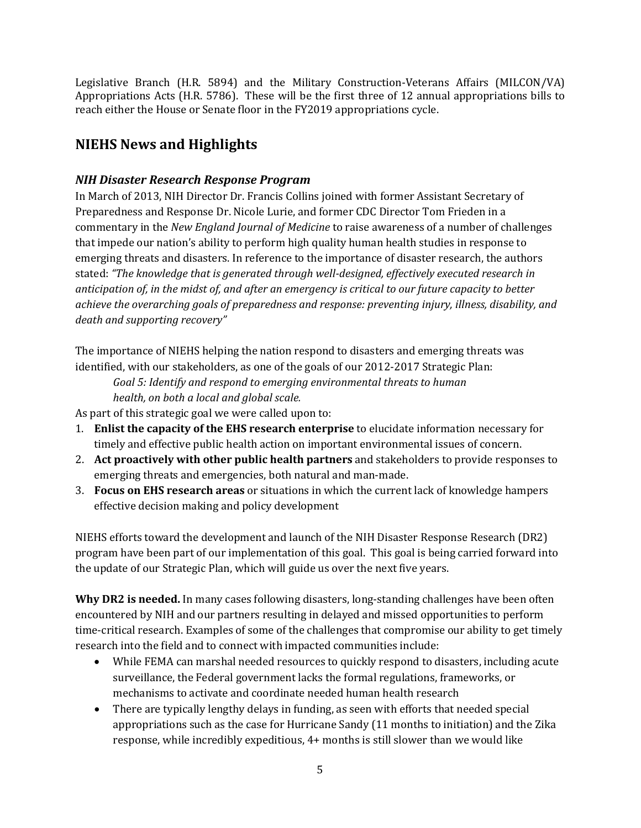Legislative Branch (H.R. 5894) and the Military Construction-Veterans Affairs (MILCON/VA) Appropriations Acts (H.R. 5786). These will be the first three of 12 annual appropriations bills to reach either the House or Senate floor in the FY2019 appropriations cycle.

# **NIEHS News and Highlights**

## *NIH Disaster Research Response Program*

In March of 2013, NIH Director Dr. Francis Collins joined with former Assistant Secretary of Preparedness and Response Dr. Nicole Lurie, and former CDC Director Tom Frieden in a commentary in the *New England Journal of Medicine* to raise awareness of a number of challenges that impede our nation's ability to perform high quality human health studies in response to emerging threats and disasters. In reference to the importance of disaster research, the authors stated: *"The knowledge that is generated through well-designed, effectively executed research in anticipation of, in the midst of, and after an emergency is critical to our future capacity to better achieve the overarching goals of preparedness and response: preventing injury, illness, disability, and death and supporting recovery"*

The importance of NIEHS helping the nation respond to disasters and emerging threats was identified, with our stakeholders, as one of the goals of our 2012-2017 Strategic Plan:

*Goal 5: Identify and respond to emerging environmental threats to human health, on both a local and global scale.*

As part of this strategic goal we were called upon to:

- 1. **Enlist the capacity of the EHS research enterprise** to elucidate information necessary for timely and effective public health action on important environmental issues of concern.
- 2. **Act proactively with other public health partners** and stakeholders to provide responses to emerging threats and emergencies, both natural and man-made.
- 3. **Focus on EHS research areas** or situations in which the current lack of knowledge hampers effective decision making and policy development

NIEHS efforts toward the development and launch of the NIH Disaster Response Research (DR2) program have been part of our implementation of this goal. This goal is being carried forward into the update of our Strategic Plan, which will guide us over the next five years.

**Why DR2 is needed.** In many cases following disasters, long-standing challenges have been often encountered by NIH and our partners resulting in delayed and missed opportunities to perform time-critical research. Examples of some of the challenges that compromise our ability to get timely research into the field and to connect with impacted communities include:

- While FEMA can marshal needed resources to quickly respond to disasters, including acute surveillance, the Federal government lacks the formal regulations, frameworks, or mechanisms to activate and coordinate needed human health research
- There are typically lengthy delays in funding, as seen with efforts that needed special appropriations such as the case for Hurricane Sandy (11 months to initiation) and the Zika response, while incredibly expeditious, 4+ months is still slower than we would like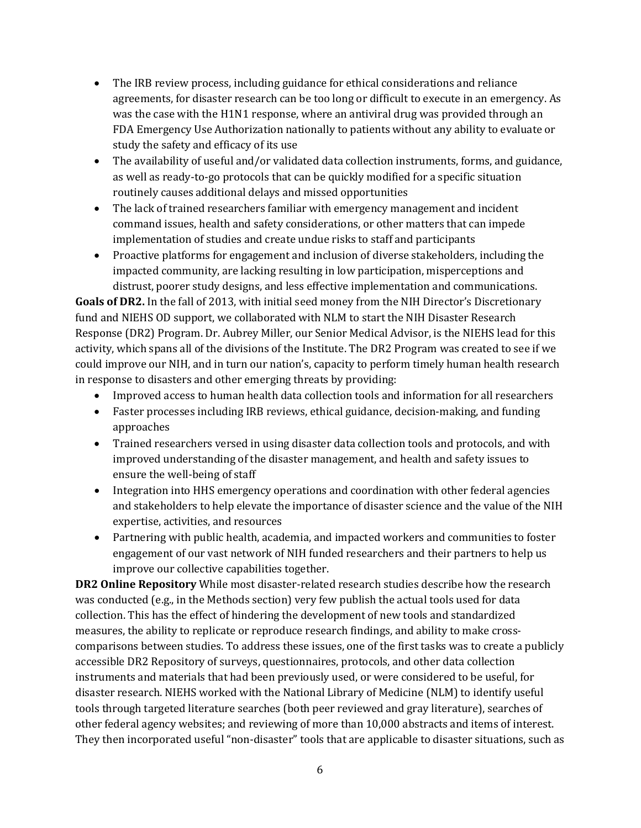- The IRB review process, including guidance for ethical considerations and reliance agreements, for disaster research can be too long or difficult to execute in an emergency. As was the case with the H1N1 response, where an antiviral drug was provided through an FDA Emergency Use Authorization nationally to patients without any ability to evaluate or study the safety and efficacy of its use
- The availability of useful and/or validated data collection instruments, forms, and guidance, as well as ready-to-go protocols that can be quickly modified for a specific situation routinely causes additional delays and missed opportunities
- The lack of trained researchers familiar with emergency management and incident command issues, health and safety considerations, or other matters that can impede implementation of studies and create undue risks to staff and participants
- Proactive platforms for engagement and inclusion of diverse stakeholders, including the impacted community, are lacking resulting in low participation, misperceptions and distrust, poorer study designs, and less effective implementation and communications.

**Goals of DR2.** In the fall of 2013, with initial seed money from the NIH Director's Discretionary fund and NIEHS OD support, we collaborated with NLM to start the NIH Disaster Research Response (DR2) Program. Dr. Aubrey Miller, our Senior Medical Advisor, is the NIEHS lead for this activity, which spans all of the divisions of the Institute. The DR2 Program was created to see if we could improve our NIH, and in turn our nation's, capacity to perform timely human health research in response to disasters and other emerging threats by providing:

- Improved access to human health data collection tools and information for all researchers
- Faster processes including IRB reviews, ethical guidance, decision-making, and funding approaches
- Trained researchers versed in using disaster data collection tools and protocols, and with improved understanding of the disaster management, and health and safety issues to ensure the well-being of staff
- Integration into HHS emergency operations and coordination with other federal agencies and stakeholders to help elevate the importance of disaster science and the value of the NIH expertise, activities, and resources
- Partnering with public health, academia, and impacted workers and communities to foster engagement of our vast network of NIH funded researchers and their partners to help us improve our collective capabilities together.

**DR2 Online Repository** While most disaster-related research studies describe how the research was conducted (e.g., in the Methods section) very few publish the actual tools used for data collection. This has the effect of hindering the development of new tools and standardized measures, the ability to replicate or reproduce research findings, and ability to make crosscomparisons between studies. To address these issues, one of the first tasks was to create a publicly accessible DR2 Repository of surveys, questionnaires, protocols, and other data collection instruments and materials that had been previously used, or were considered to be useful, for disaster research. NIEHS worked with the National Library of Medicine (NLM) to identify useful tools through targeted literature searches (both peer reviewed and gray literature), searches of other federal agency websites; and reviewing of more than 10,000 abstracts and items of interest. They then incorporated useful "non-disaster" tools that are applicable to disaster situations, such as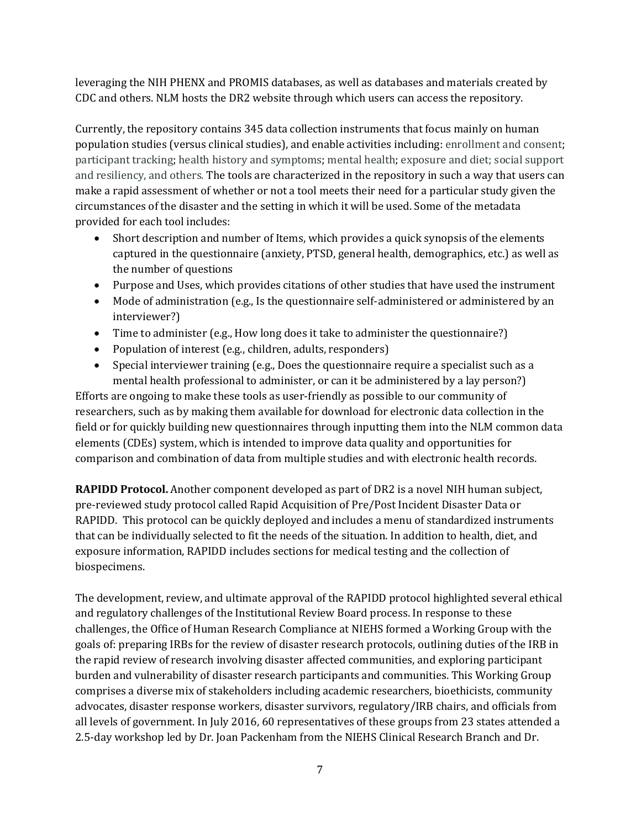leveraging the NIH PHENX and PROMIS databases, as well as databases and materials created by CDC and others. NLM hosts the DR2 website through which users can access the repository.

Currently, the repository contains 345 data collection instruments that focus mainly on human population studies (versus clinical studies), and enable activities including: enrollment and consent; participant tracking; health history and symptoms; mental health; exposure and diet; social support and resiliency, and others. The tools are characterized in the repository in such a way that users can make a rapid assessment of whether or not a tool meets their need for a particular study given the circumstances of the disaster and the setting in which it will be used. Some of the metadata provided for each tool includes:

- Short description and number of Items, which provides a quick synopsis of the elements captured in the questionnaire (anxiety, PTSD, general health, demographics, etc.) as well as the number of questions
- Purpose and Uses, which provides citations of other studies that have used the instrument
- Mode of administration (e.g., Is the questionnaire self-administered or administered by an interviewer?)
- Time to administer (e.g., How long does it take to administer the questionnaire?)
- Population of interest (e.g., children, adults, responders)
- Special interviewer training (e.g., Does the questionnaire require a specialist such as a mental health professional to administer, or can it be administered by a lay person?)

Efforts are ongoing to make these tools as user-friendly as possible to our community of researchers, such as by making them available for download for electronic data collection in the field or for quickly building new questionnaires through inputting them into the NLM common data elements (CDEs) system, which is intended to improve data quality and opportunities for comparison and combination of data from multiple studies and with electronic health records.

**RAPIDD Protocol.** Another component developed as part of DR2 is a novel NIH human subject, pre-reviewed study protocol called Rapid Acquisition of Pre/Post Incident Disaster Data or RAPIDD. This protocol can be quickly deployed and includes a menu of standardized instruments that can be individually selected to fit the needs of the situation. In addition to health, diet, and exposure information, RAPIDD includes sections for medical testing and the collection of biospecimens.

The development, review, and ultimate approval of the RAPIDD protocol highlighted several ethical and regulatory challenges of the Institutional Review Board process. In response to these challenges, the Office of Human Research Compliance at NIEHS formed a Working Group with the goals of: preparing IRBs for the review of disaster research protocols, outlining duties of the IRB in the rapid review of research involving disaster affected communities, and exploring participant burden and vulnerability of disaster research participants and communities. This Working Group comprises a diverse mix of stakeholders including academic researchers, bioethicists, community advocates, disaster response workers, disaster survivors, regulatory/IRB chairs, and officials from all levels of government. In July 2016, 60 representatives of these groups from 23 states attended a 2.5-day workshop led by Dr. Joan Packenham from the NIEHS Clinical Research Branch and Dr.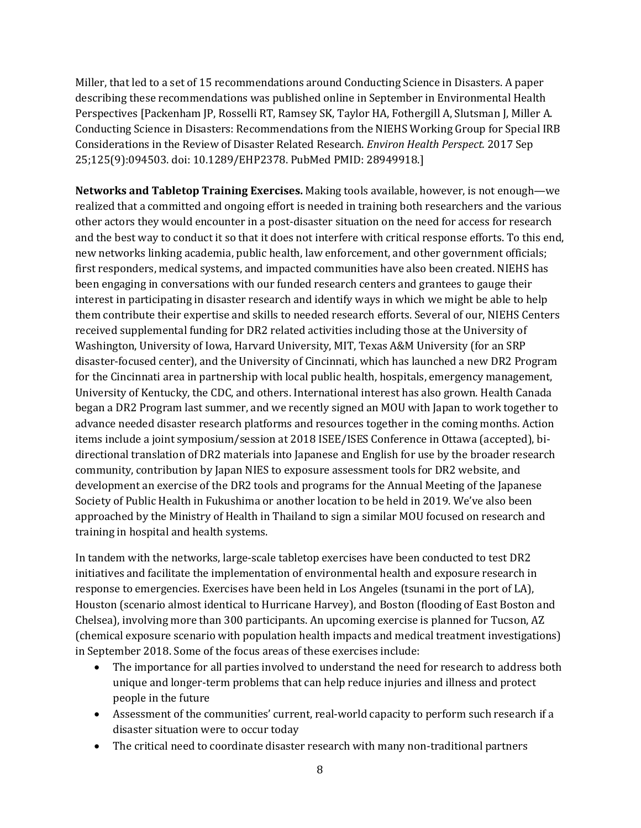Miller, that led to a set of 15 recommendations around Conducting Science in Disasters. A paper describing these recommendations was published online in September in Environmental Health Perspectives [Packenham JP, Rosselli RT, Ramsey SK, Taylor HA, Fothergill A, Slutsman J, Miller A. Conducting Science in Disasters: Recommendations from the NIEHS Working Group for Special IRB Considerations in the Review of Disaster Related Research. *Environ Health Perspect.* 2017 Sep 25;125(9):094503. doi: 10.1289/EHP2378. PubMed PMID: 28949918.]

**Networks and Tabletop Training Exercises.** Making tools available, however, is not enough—we realized that a committed and ongoing effort is needed in training both researchers and the various other actors they would encounter in a post-disaster situation on the need for access for research and the best way to conduct it so that it does not interfere with critical response efforts. To this end, new networks linking academia, public health, law enforcement, and other government officials; first responders, medical systems, and impacted communities have also been created. NIEHS has been engaging in conversations with our funded research centers and grantees to gauge their interest in participating in disaster research and identify ways in which we might be able to help them contribute their expertise and skills to needed research efforts. Several of our, NIEHS Centers received supplemental funding for DR2 related activities including those at the University of Washington, University of Iowa, Harvard University, MIT, Texas A&M University (for an SRP disaster-focused center), and the University of Cincinnati, which has launched a new DR2 Program for the Cincinnati area in partnership with local public health, hospitals, emergency management, University of Kentucky, the CDC, and others. International interest has also grown. Health Canada began a DR2 Program last summer, and we recently signed an MOU with Japan to work together to advance needed disaster research platforms and resources together in the coming months. Action items include a joint symposium/session at 2018 ISEE/ISES Conference in Ottawa (accepted), bidirectional translation of DR2 materials into Japanese and English for use by the broader research community, contribution by Japan NIES to exposure assessment tools for DR2 website, and development an exercise of the DR2 tools and programs for the Annual Meeting of the Japanese Society of Public Health in Fukushima or another location to be held in 2019. We've also been approached by the Ministry of Health in Thailand to sign a similar MOU focused on research and training in hospital and health systems.

In tandem with the networks, large-scale tabletop exercises have been conducted to test DR2 initiatives and facilitate the implementation of environmental health and exposure research in response to emergencies. Exercises have been held in Los Angeles (tsunami in the port of LA), Houston (scenario almost identical to Hurricane Harvey), and Boston (flooding of East Boston and Chelsea), involving more than 300 participants. An upcoming exercise is planned for Tucson, AZ (chemical exposure scenario with population health impacts and medical treatment investigations) in September 2018. Some of the focus areas of these exercises include:

- The importance for all parties involved to understand the need for research to address both unique and longer-term problems that can help reduce injuries and illness and protect people in the future
- Assessment of the communities' current, real-world capacity to perform such research if a disaster situation were to occur today
- The critical need to coordinate disaster research with many non-traditional partners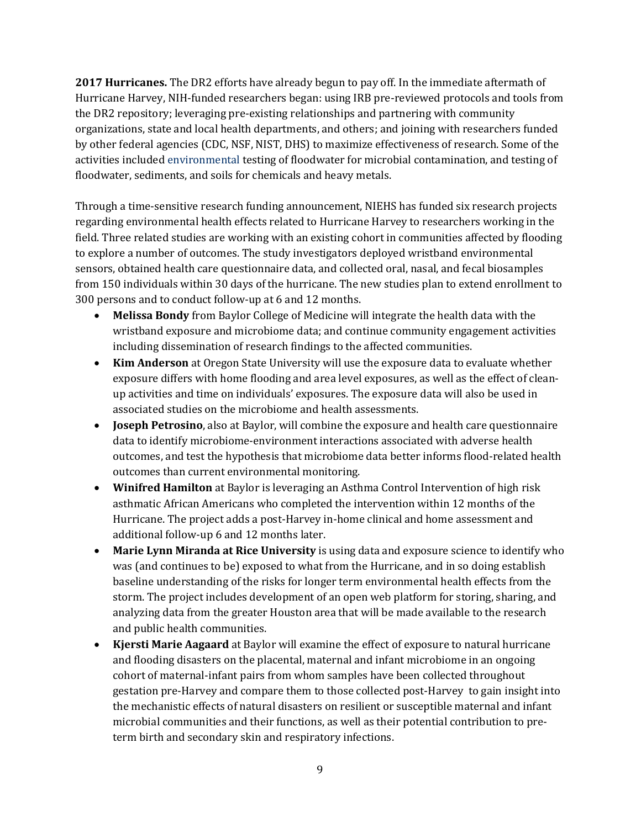**2017 Hurricanes.** The DR2 efforts have already begun to pay off. In the immediate aftermath of Hurricane Harvey, NIH-funded researchers began: using IRB pre-reviewed protocols and tools from the DR2 repository; leveraging pre-existing relationships and partnering with community organizations, state and local health departments, and others; and joining with researchers funded by other federal agencies (CDC, NSF, NIST, DHS) to maximize effectiveness of research. Some of the activities included environmental testing of floodwater for microbial contamination, and testing of floodwater, sediments, and soils for chemicals and heavy metals.

Through a time-sensitive research funding announcement, NIEHS has funded six research projects regarding environmental health effects related to Hurricane Harvey to researchers working in the field. Three related studies are working with an existing cohort in communities affected by flooding to explore a number of outcomes. The study investigators deployed wristband environmental sensors, obtained health care questionnaire data, and collected oral, nasal, and fecal biosamples from 150 individuals within 30 days of the hurricane. The new studies plan to extend enrollment to 300 persons and to conduct follow-up at 6 and 12 months.

- **Melissa Bondy** from Baylor College of Medicine will integrate the health data with the wristband exposure and microbiome data; and continue community engagement activities including dissemination of research findings to the affected communities.
- **Kim Anderson** at Oregon State University will use the exposure data to evaluate whether exposure differs with home flooding and area level exposures, as well as the effect of cleanup activities and time on individuals' exposures. The exposure data will also be used in associated studies on the microbiome and health assessments.
- **Joseph Petrosino**, also at Baylor, will combine the exposure and health care questionnaire data to identify microbiome-environment interactions associated with adverse health outcomes, and test the hypothesis that microbiome data better informs flood-related health outcomes than current environmental monitoring.
- **Winifred Hamilton** at Baylor is leveraging an Asthma Control Intervention of high risk asthmatic African Americans who completed the intervention within 12 months of the Hurricane. The project adds a post-Harvey in-home clinical and home assessment and additional follow-up 6 and 12 months later.
- **Marie Lynn Miranda at Rice University** is using data and exposure science to identify who was (and continues to be) exposed to what from the Hurricane, and in so doing establish baseline understanding of the risks for longer term environmental health effects from the storm. The project includes development of an open web platform for storing, sharing, and analyzing data from the greater Houston area that will be made available to the research and public health communities.
- **Kjersti Marie Aagaard** at Baylor will examine the effect of exposure to natural hurricane and flooding disasters on the placental, maternal and infant microbiome in an ongoing cohort of maternal-infant pairs from whom samples have been collected throughout gestation pre-Harvey and compare them to those collected post-Harvey to gain insight into the mechanistic effects of natural disasters on resilient or susceptible maternal and infant microbial communities and their functions, as well as their potential contribution to preterm birth and secondary skin and respiratory infections.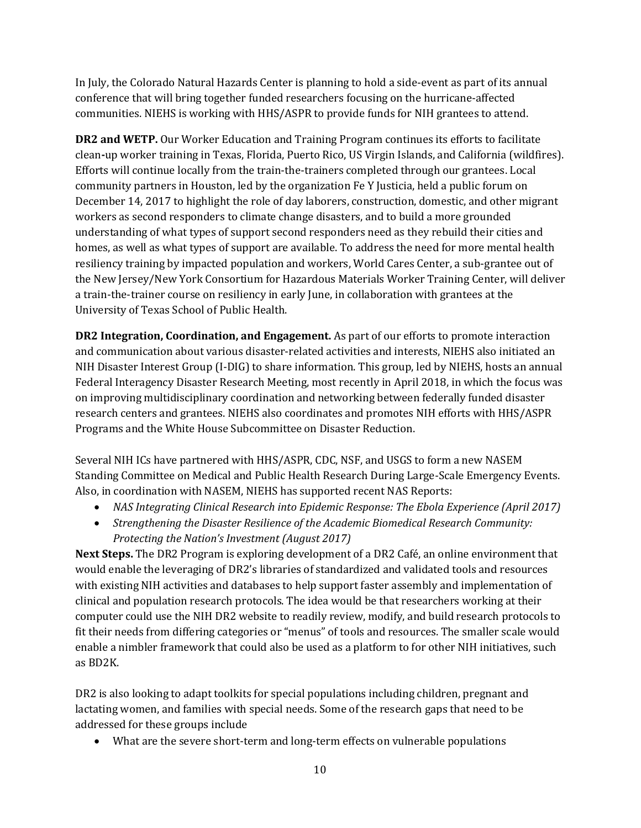In July, the Colorado Natural Hazards Center is planning to hold a side-event as part of its annual conference that will bring together funded researchers focusing on the hurricane-affected communities. NIEHS is working with HHS/ASPR to provide funds for NIH grantees to attend.

**DR2 and WETP.** Our Worker Education and Training Program continues its efforts to facilitate clean**‐**up worker training in Texas, Florida, Puerto Rico, US Virgin Islands, and California (wildfires). Efforts will continue locally from the train-the-trainers completed through our grantees. Local community partners in Houston, led by the organization Fe Y Justicia, held a public forum on December 14, 2017 to highlight the role of day laborers, construction, domestic, and other migrant workers as second responders to climate change disasters, and to build a more grounded understanding of what types of support second responders need as they rebuild their cities and homes, as well as what types of support are available. To address the need for more mental health resiliency training by impacted population and workers, World Cares Center, a sub-grantee out of the New Jersey/New York Consortium for Hazardous Materials Worker Training Center, will deliver a train-the-trainer course on resiliency in early June, in collaboration with grantees at the University of Texas School of Public Health.

**DR2 Integration, Coordination, and Engagement.** As part of our efforts to promote interaction and communication about various disaster-related activities and interests, NIEHS also initiated an NIH Disaster Interest Group (I-DIG) to share information. This group, led by NIEHS, hosts an annual Federal Interagency Disaster Research Meeting, most recently in April 2018, in which the focus was on improving multidisciplinary coordination and networking between federally funded disaster research centers and grantees. NIEHS also coordinates and promotes NIH efforts with HHS/ASPR Programs and the White House Subcommittee on Disaster Reduction.

Several NIH ICs have partnered with HHS/ASPR, CDC, NSF, and USGS to form a new NASEM Standing Committee on Medical and Public Health Research During Large-Scale Emergency Events. Also, in coordination with NASEM, NIEHS has supported recent NAS Reports:

- *NAS Integrating Clinical Research into Epidemic Response: The Ebola Experience (April 2017)*
- *Strengthening the Disaster Resilience of the Academic Biomedical Research Community: Protecting the Nation's Investment (August 2017)*

**Next Steps.** The DR2 Program is exploring development of a DR2 Café, an online environment that would enable the leveraging of DR2's libraries of standardized and validated tools and resources with existing NIH activities and databases to help support faster assembly and implementation of clinical and population research protocols. The idea would be that researchers working at their computer could use the NIH DR2 website to readily review, modify, and build research protocols to fit their needs from differing categories or "menus" of tools and resources. The smaller scale would enable a nimbler framework that could also be used as a platform to for other NIH initiatives, such as BD2K.

DR2 is also looking to adapt toolkits for special populations including children, pregnant and lactating women, and families with special needs. Some of the research gaps that need to be addressed for these groups include

• What are the severe short-term and long-term effects on vulnerable populations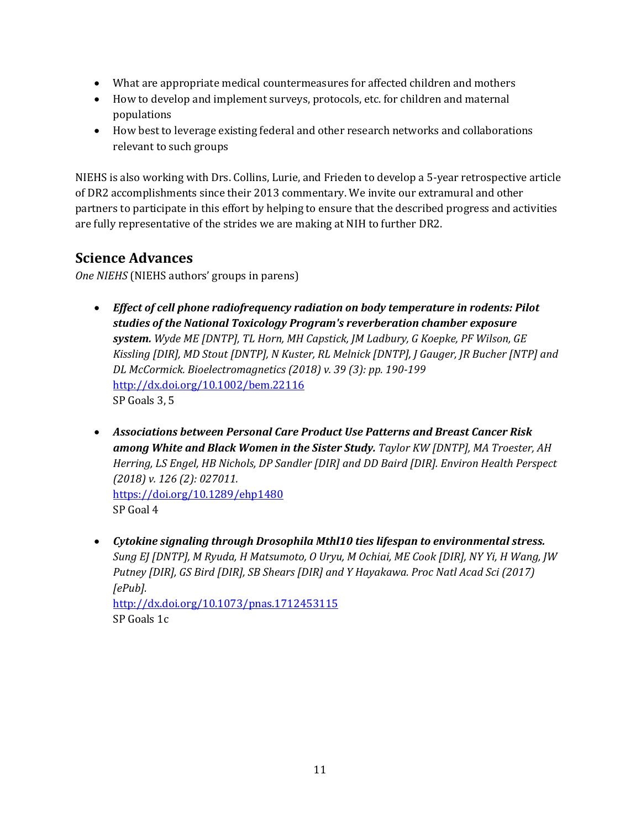- What are appropriate medical countermeasures for affected children and mothers
- How to develop and implement surveys, protocols, etc. for children and maternal populations
- How best to leverage existing federal and other research networks and collaborations relevant to such groups

NIEHS is also working with Drs. Collins, Lurie, and Frieden to develop a 5-year retrospective article of DR2 accomplishments since their 2013 commentary. We invite our extramural and other partners to participate in this effort by helping to ensure that the described progress and activities are fully representative of the strides we are making at NIH to further DR2.

# **Science Advances**

*One NIEHS* (NIEHS authors' groups in parens)

- *Effect of cell phone radiofrequency radiation on body temperature in rodents: Pilot studies of the National Toxicology Program's reverberation chamber exposure system. Wyde ME [DNTP], TL Horn, MH Capstick, JM Ladbury, G Koepke, PF Wilson, GE Kissling [DIR], MD Stout [DNTP], N Kuster, RL Melnick [DNTP], J Gauger, JR Bucher [NTP] and DL McCormick. Bioelectromagnetics (2018) v. 39 (3): pp. 190-199* <http://dx.doi.org/10.1002/bem.22116> SP Goals 3, 5
- *Associations between Personal Care Product Use Patterns and Breast Cancer Risk among White and Black Women in the Sister Study. Taylor KW [DNTP], MA Troester, AH Herring, LS Engel, HB Nichols, DP Sandler [DIR] and DD Baird [DIR]. Environ Health Perspect (2018) v. 126 (2): 027011.* <https://doi.org/10.1289/ehp1480> SP Goal 4
- *Cytokine signaling through Drosophila Mthl10 ties lifespan to environmental stress. Sung EJ [DNTP], M Ryuda, H Matsumoto, O Uryu, M Ochiai, ME Cook [DIR], NY Yi, H Wang, JW Putney [DIR], GS Bird [DIR], SB Shears [DIR] and Y Hayakawa. Proc Natl Acad Sci (2017) [ePub].* <http://dx.doi.org/10.1073/pnas.1712453115> SP Goals 1c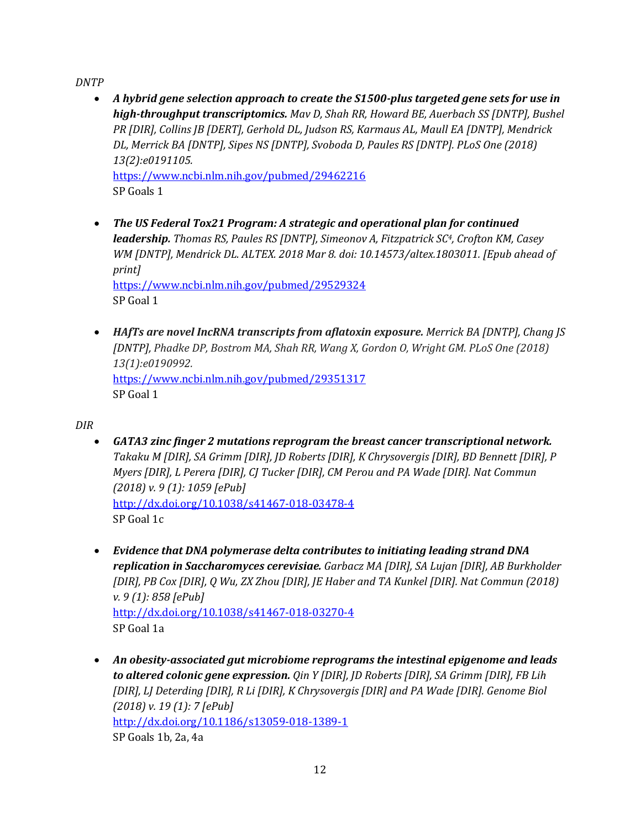*DNTP*

- *A hybrid gene selection approach to create the S1500-plus targeted gene sets for use in high-throughput transcriptomics. Mav D, Shah RR, Howard BE, Auerbach SS [DNTP], Bushel PR [DIR], Collins JB [DERT], Gerhold DL, Judson RS, Karmaus AL, Maull EA [DNTP], Mendrick DL, Merrick BA [DNTP], Sipes NS [DNTP], Svoboda D, Paules RS [DNTP]. PLoS One (2018) 13(2):e0191105.* <https://www.ncbi.nlm.nih.gov/pubmed/29462216> SP Goals 1
- *The US Federal Tox21 Program: A strategic and operational plan for continued leadership. Thomas RS, Paules RS [DNTP], Simeonov A, Fitzpatrick SC4, Crofton KM, Casey WM [DNTP], Mendrick DL. ALTEX. 2018 Mar 8. doi: 10.14573/altex.1803011. [Epub ahead of print]* <https://www.ncbi.nlm.nih.gov/pubmed/29529324> SP Goal 1
- *HAfTs are novel IncRNA transcripts from aflatoxin exposure. Merrick BA [DNTP], Chang JS [DNTP], Phadke DP, Bostrom MA, Shah RR, Wang X, Gordon O, Wright GM. PLoS One (2018) 13(1):e0190992.* <https://www.ncbi.nlm.nih.gov/pubmed/29351317> SP Goal 1

*DIR*

- *GATA3 zinc finger 2 mutations reprogram the breast cancer transcriptional network. Takaku M [DIR], SA Grimm [DIR], JD Roberts [DIR], K Chrysovergis [DIR], BD Bennett [DIR], P Myers [DIR], L Perera [DIR], CJ Tucker [DIR], CM Perou and PA Wade [DIR]. Nat Commun (2018) v. 9 (1): 1059 [ePub]* <http://dx.doi.org/10.1038/s41467-018-03478-4> SP Goal 1c
- *Evidence that DNA polymerase delta contributes to initiating leading strand DNA replication in Saccharomyces cerevisiae. Garbacz MA [DIR], SA Lujan [DIR], AB Burkholder [DIR], PB Cox [DIR], Q Wu, ZX Zhou [DIR], JE Haber and TA Kunkel [DIR]. Nat Commun (2018) v. 9 (1): 858 [ePub]* <http://dx.doi.org/10.1038/s41467-018-03270-4> SP Goal 1a
- *An obesity-associated gut microbiome reprograms the intestinal epigenome and leads to altered colonic gene expression. Qin Y [DIR], JD Roberts [DIR], SA Grimm [DIR], FB Lih [DIR], LJ Deterding [DIR], R Li [DIR], K Chrysovergis [DIR] and PA Wade [DIR]. Genome Biol (2018) v. 19 (1): 7 [ePub]* <http://dx.doi.org/10.1186/s13059-018-1389-1> SP Goals 1b, 2a, 4a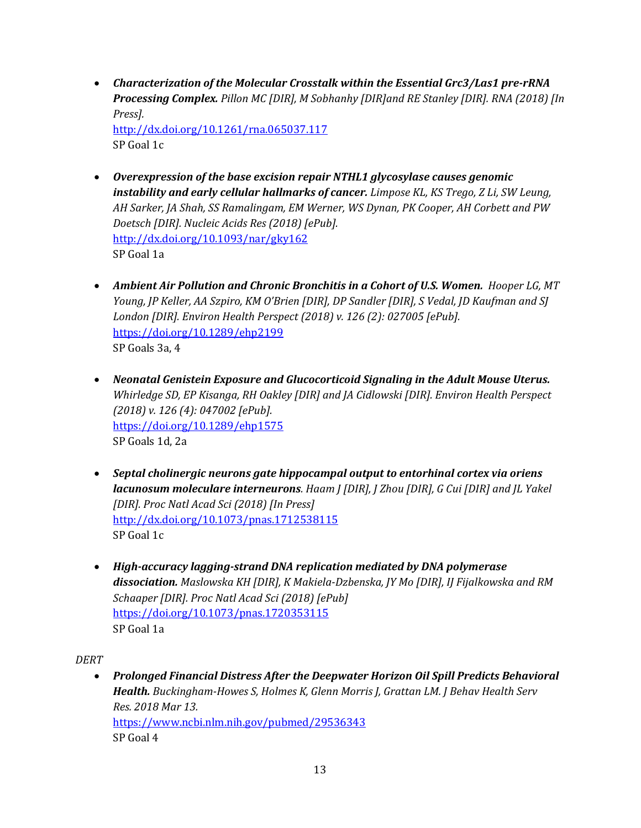• *Characterization of the Molecular Crosstalk within the Essential Grc3/Las1 pre-rRNA Processing Complex. Pillon MC [DIR], M Sobhanhy [DIR]and RE Stanley [DIR]. RNA (2018) [In Press].*

<http://dx.doi.org/10.1261/rna.065037.117> SP Goal 1c

- *Overexpression of the base excision repair NTHL1 glycosylase causes genomic instability and early cellular hallmarks of cancer. Limpose KL, KS Trego, Z Li, SW Leung, AH Sarker, JA Shah, SS Ramalingam, EM Werner, WS Dynan, PK Cooper, AH Corbett and PW Doetsch [DIR]. Nucleic Acids Res (2018) [ePub].* <http://dx.doi.org/10.1093/nar/gky162> SP Goal 1a
- Ambient Air Pollution and Chronic Bronchitis in a Cohort of U.S. Women. Hooper LG, MT *Young, JP Keller, AA Szpiro, KM O'Brien [DIR], DP Sandler [DIR], S Vedal, JD Kaufman and SJ London [DIR]. Environ Health Perspect (2018) v. 126 (2): 027005 [ePub].* <https://doi.org/10.1289/ehp2199> SP Goals 3a, 4
- *Neonatal Genistein Exposure and Glucocorticoid Signaling in the Adult Mouse Uterus. Whirledge SD, EP Kisanga, RH Oakley [DIR] and JA Cidlowski [DIR]. Environ Health Perspect (2018) v. 126 (4): 047002 [ePub].* <https://doi.org/10.1289/ehp1575> SP Goals 1d, 2a
- *Septal cholinergic neurons gate hippocampal output to entorhinal cortex via oriens lacunosum moleculare interneurons. Haam J [DIR], J Zhou [DIR], G Cui [DIR] and JL Yakel [DIR]. Proc Natl Acad Sci (2018) [In Press]* <http://dx.doi.org/10.1073/pnas.1712538115> SP Goal 1c
- *High-accuracy lagging-strand DNA replication mediated by DNA polymerase dissociation. Maslowska KH [DIR], K Makiela-Dzbenska, JY Mo [DIR], IJ Fijalkowska and RM Schaaper [DIR]. Proc Natl Acad Sci (2018) [ePub]* <https://doi.org/10.1073/pnas.1720353115> SP Goal 1a

*DERT*

• *Prolonged Financial Distress After the Deepwater Horizon Oil Spill Predicts Behavioral Health. Buckingham-Howes S, Holmes K, Glenn Morris J, Grattan LM. J Behav Health Serv Res. 2018 Mar 13.* <https://www.ncbi.nlm.nih.gov/pubmed/29536343> SP Goal 4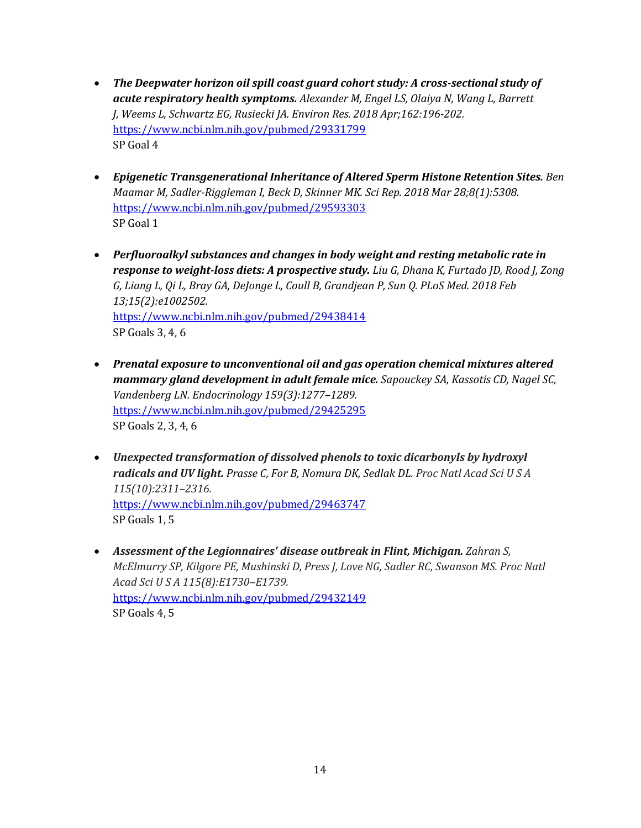- *The Deepwater horizon oil spill coast guard cohort study: A cross-sectional study of acute respiratory health symptoms. Alexander M, Engel LS, Olaiya N, Wang L, Barrett J, Weems L, Schwartz EG, Rusiecki JA. Environ Res. 2018 Apr;162:196-202.* <https://www.ncbi.nlm.nih.gov/pubmed/29331799> SP Goal 4
- *Epigenetic Transgenerational Inheritance of Altered Sperm Histone Retention Sites. Ben Maamar M, Sadler-Riggleman I, Beck D, Skinner MK. Sci Rep. 2018 Mar 28;8(1):5308.* <https://www.ncbi.nlm.nih.gov/pubmed/29593303> SP Goal 1
- *Perfluoroalkyl substances and changes in body weight and resting metabolic rate in response to weight-loss diets: A prospective study. Liu G, Dhana K, Furtado JD, Rood J, Zong G, Liang L, Qi L, Bray GA, DeJonge L, Coull B, Grandjean P, Sun Q. PLoS Med. 2018 Feb 13;15(2):e1002502.* <https://www.ncbi.nlm.nih.gov/pubmed/29438414> SP Goals 3, 4, 6
- *Prenatal exposure to unconventional oil and gas operation chemical mixtures altered mammary gland development in adult female mice. Sapouckey SA, Kassotis CD, Nagel SC, Vandenberg LN. Endocrinology 159(3):1277–1289.* <https://www.ncbi.nlm.nih.gov/pubmed/29425295> SP Goals 2, 3, 4, 6
- *Unexpected transformation of dissolved phenols to toxic dicarbonyls by hydroxyl radicals and UV light. Prasse C, For B, Nomura DK, Sedlak DL. Proc Natl Acad Sci U S A 115(10):2311–2316.* <https://www.ncbi.nlm.nih.gov/pubmed/29463747> SP Goals 1, 5
- *Assessment of the Legionnaires' disease outbreak in Flint, Michigan. Zahran S, McElmurry SP, Kilgore PE, Mushinski D, Press J, Love NG, Sadler RC, Swanson MS. Proc Natl Acad Sci U S A 115(8):E1730–E1739.* <https://www.ncbi.nlm.nih.gov/pubmed/29432149> SP Goals 4, 5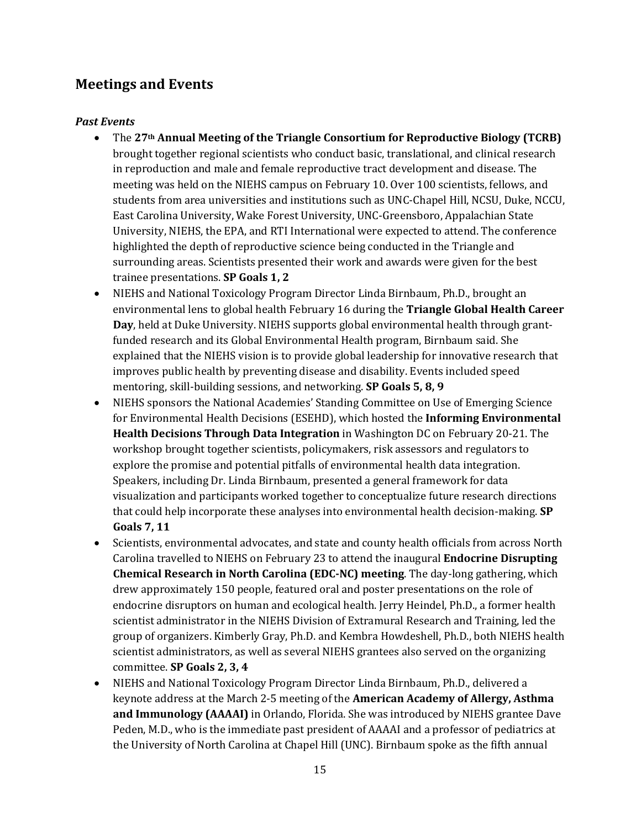# **Meetings and Events**

## *Past Events*

- The **27th Annual Meeting of the Triangle Consortium for Reproductive Biology (TCRB)**  brought together regional scientists who conduct basic, translational, and clinical research in reproduction and male and female reproductive tract development and disease. The meeting was held on the NIEHS campus on February 10. Over 100 scientists, fellows, and students from area universities and institutions such as UNC-Chapel Hill, NCSU, Duke, NCCU, East Carolina University, Wake Forest University, UNC-Greensboro, Appalachian State University, NIEHS, the EPA, and RTI International were expected to attend. The conference highlighted the depth of reproductive science being conducted in the Triangle and surrounding areas. Scientists presented their work and awards were given for the best trainee presentations. **SP Goals 1, 2**
- NIEHS and National Toxicology Program Director Linda Birnbaum, Ph.D., brought an environmental lens to global health February 16 during the **Triangle Global Health Career Day**, held at Duke University. NIEHS supports global environmental health through grantfunded research and its Global Environmental Health program, Birnbaum said. She explained that the NIEHS vision is to provide global leadership for innovative research that improves public health by preventing disease and disability. Events included speed mentoring, skill-building sessions, and networking. **SP Goals 5, 8, 9**
- NIEHS sponsors the National Academies' Standing Committee on Use of Emerging Science for Environmental Health Decisions (ESEHD), which hosted the **Informing Environmental Health Decisions Through Data Integration** in Washington DC on February 20-21. The workshop brought together scientists, policymakers, risk assessors and regulators to explore the promise and potential pitfalls of environmental health data integration. Speakers, including Dr. Linda Birnbaum, presented a general framework for data visualization and participants worked together to conceptualize future research directions that could help incorporate these analyses into environmental health decision-making. **SP Goals 7, 11**
- Scientists, environmental advocates, and state and county health officials from across North Carolina travelled to NIEHS on February 23 to attend the inaugural **Endocrine Disrupting Chemical Research in North Carolina (EDC-NC) meeting**. The day-long gathering, which drew approximately 150 people, featured oral and poster presentations on the role of endocrine disruptors on human and ecological health. Jerry Heindel, Ph.D., a former health scientist administrator in the NIEHS Division of Extramural Research and Training, led the group of organizers. Kimberly Gray, Ph.D. and Kembra Howdeshell, Ph.D., both NIEHS health scientist administrators, as well as several NIEHS grantees also served on the organizing committee. **SP Goals 2, 3, 4**
- NIEHS and National Toxicology Program Director Linda Birnbaum, Ph.D., delivered a keynote address at the March 2-5 meeting of the **American Academy of Allergy, Asthma and Immunology (AAAAI)** in Orlando, Florida. She was introduced by NIEHS grantee Dave Peden, M.D., who is the immediate past president of AAAAI and a professor of pediatrics at the University of North Carolina at Chapel Hill (UNC). Birnbaum spoke as the fifth annual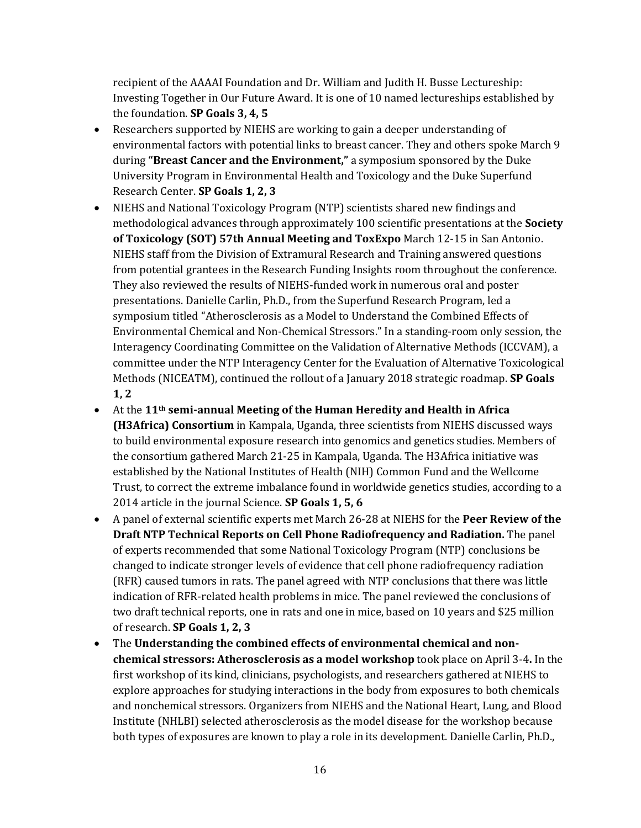recipient of the AAAAI Foundation and Dr. William and Judith H. Busse Lectureship: Investing Together in Our Future Award. It is one of 10 named lectureships established by the foundation. **SP Goals 3, 4, 5**

- Researchers supported by NIEHS are working to gain a deeper understanding of environmental factors with potential links to breast cancer. They and others spoke March 9 during **"Breast Cancer and the Environment,"** a symposium sponsored by the Duke University Program in Environmental Health and Toxicology and the Duke Superfund Research Center. **SP Goals 1, 2, 3**
- NIEHS and National Toxicology Program (NTP) scientists shared new findings and methodological advances through approximately 100 scientific presentations at the **Society of Toxicology (SOT) 57th Annual Meeting and ToxExpo** March 12-15 in San Antonio. NIEHS staff from the Division of Extramural Research and Training answered questions from potential grantees in the Research Funding Insights room throughout the conference. They also reviewed the results of NIEHS-funded work in numerous oral and poster presentations. Danielle Carlin, Ph.D., from the Superfund Research Program, led a symposium titled "Atherosclerosis as a Model to Understand the Combined Effects of Environmental Chemical and Non-Chemical Stressors." In a standing-room only session, the Interagency Coordinating Committee on the Validation of Alternative Methods (ICCVAM), a committee under the NTP Interagency Center for the Evaluation of Alternative Toxicological Methods (NICEATM), continued the rollout of a January 2018 strategic roadmap. **SP Goals 1, 2**
- At the **11th semi-annual Meeting of the Human Heredity and Health in Africa (H3Africa) Consortium** in Kampala, Uganda, three scientists from NIEHS discussed ways to build environmental exposure research into genomics and genetics studies. Members of the consortium gathered March 21-25 in Kampala, Uganda. The H3Africa initiative was established by the National Institutes of Health (NIH) Common Fund and the Wellcome Trust, to correct the extreme imbalance found in worldwide genetics studies, according to a 2014 article in the journal Science. **SP Goals 1, 5, 6**
- A panel of external scientific experts met March 26-28 at NIEHS for the **Peer Review of the Draft NTP Technical Reports on Cell Phone Radiofrequency and Radiation.** The panel of experts recommended that some National Toxicology Program (NTP) conclusions be changed to indicate stronger levels of evidence that cell phone radiofrequency radiation (RFR) caused tumors in rats. The panel agreed with NTP conclusions that there was little indication of RFR-related health problems in mice. The panel reviewed the conclusions of two draft technical reports, one in rats and one in mice, based on 10 years and \$25 million of research. **SP Goals 1, 2, 3**
- The **Understanding the combined effects of environmental chemical and nonchemical stressors: Atherosclerosis as a model workshop** took place on April 3-4**.** In the first workshop of its kind, clinicians, psychologists, and researchers gathered at NIEHS to explore approaches for studying interactions in the body from exposures to both chemicals and nonchemical stressors. Organizers from NIEHS and the National Heart, Lung, and Blood Institute (NHLBI) selected atherosclerosis as the model disease for the workshop because both types of exposures are known to play a role in its development. Danielle Carlin, Ph.D.,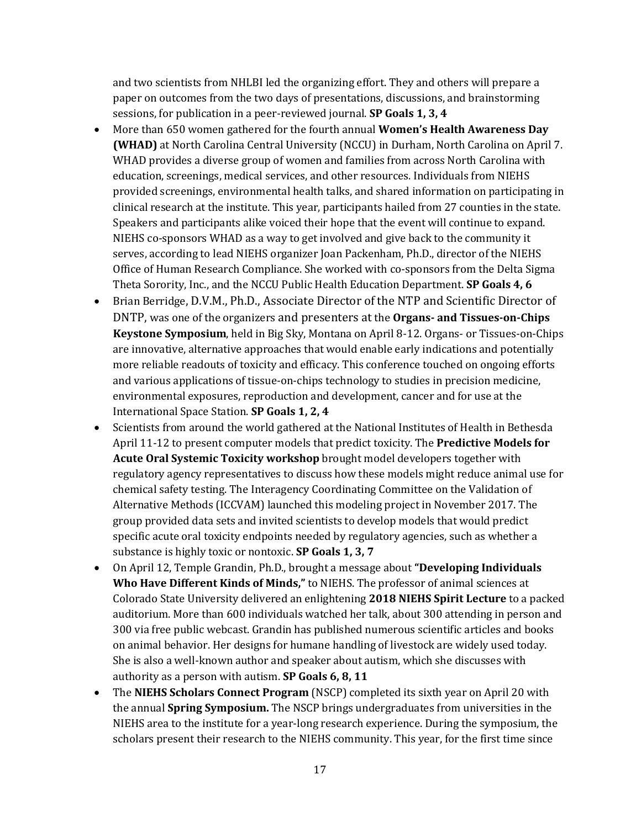and two scientists from NHLBI led the organizing effort. They and others will prepare a paper on outcomes from the two days of presentations, discussions, and brainstorming sessions, for publication in a peer-reviewed journal. **SP Goals 1, 3, 4**

- More than 650 women gathered for the fourth annual **Women's Health Awareness Day (WHAD)** at North Carolina Central University (NCCU) in Durham, North Carolina on April 7. WHAD provides a diverse group of women and families from across North Carolina with education, screenings, medical services, and other resources. Individuals from NIEHS provided screenings, environmental health talks, and shared information on participating in clinical research at the institute. This year, participants hailed from 27 counties in the state. Speakers and participants alike voiced their hope that the event will continue to expand. NIEHS co-sponsors WHAD as a way to get involved and give back to the community it serves, according to lead NIEHS organizer Joan Packenham, Ph.D., director of the NIEHS Office of Human Research Compliance. She worked with co-sponsors from the Delta Sigma Theta Sorority, Inc., and the NCCU Public Health Education Department. **SP Goals 4, 6**
- Brian Berridge, D.V.M., Ph.D., Associate Director of the NTP and Scientific Director of DNTP, was one of the organizers and presenters at the **Organs- and Tissues-on-Chips Keystone Symposium**, held in Big Sky, Montana on April 8-12. Organs- or Tissues-on-Chips are innovative, alternative approaches that would enable early indications and potentially more reliable readouts of toxicity and efficacy. This conference touched on ongoing efforts and various applications of tissue-on-chips technology to studies in precision medicine, environmental exposures, reproduction and development, cancer and for use at the International Space Station. **SP Goals 1, 2, 4**
- Scientists from around the world gathered at the National Institutes of Health in Bethesda April 11-12 to present computer models that predict toxicity. The **Predictive Models for Acute Oral Systemic Toxicity workshop** brought model developers together with regulatory agency representatives to discuss how these models might reduce animal use for chemical safety testing. The Interagency Coordinating Committee on the Validation of Alternative Methods (ICCVAM) launched this modeling project in November 2017. The group provided data sets and invited scientists to develop models that would predict specific acute oral toxicity endpoints needed by regulatory agencies, such as whether a substance is highly toxic or nontoxic. **SP Goals 1, 3, 7**
- On April 12, Temple Grandin, Ph.D., brought a message about **"Developing Individuals Who Have Different Kinds of Minds,"** to NIEHS. The professor of animal sciences at Colorado State University delivered an enlightening **2018 NIEHS Spirit Lecture** to a packed auditorium. More than 600 individuals watched her talk, about 300 attending in person and 300 via free public webcast. Grandin has published numerous scientific articles and books on animal behavior. Her designs for humane handling of livestock are widely used today. She is also a well-known author and speaker about autism, which she discusses with authority as a person with autism. **SP Goals 6, 8, 11**
- The **NIEHS Scholars Connect Program** (NSCP) completed its sixth year on April 20 with the annual **Spring Symposium.** The NSCP brings undergraduates from universities in the NIEHS area to the institute for a year-long research experience. During the symposium, the scholars present their research to the NIEHS community. This year, for the first time since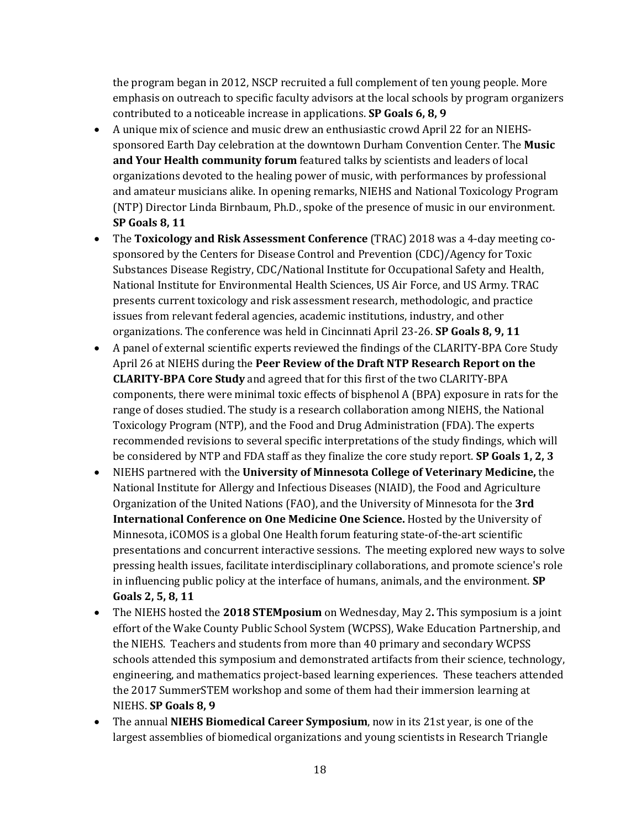the program began in 2012, NSCP recruited a full complement of ten young people. More emphasis on outreach to specific faculty advisors at the local schools by program organizers contributed to a noticeable increase in applications. **SP Goals 6, 8, 9**

- A unique mix of science and music drew an enthusiastic crowd April 22 for an NIEHSsponsored Earth Day celebration at the downtown Durham Convention Center. The **Music and Your Health community forum** featured talks by scientists and leaders of local organizations devoted to the healing power of music, with performances by professional and amateur musicians alike. In opening remarks, NIEHS and National Toxicology Program (NTP) Director Linda Birnbaum, Ph.D., spoke of the presence of music in our environment. **SP Goals 8, 11**
- The **Toxicology and Risk Assessment Conference** (TRAC) 2018 was a 4-day meeting cosponsored by the Centers for Disease Control and Prevention (CDC)/Agency for Toxic Substances Disease Registry, CDC/National Institute for Occupational Safety and Health, National Institute for Environmental Health Sciences, US Air Force, and US Army. TRAC presents current toxicology and risk assessment research, methodologic, and practice issues from relevant federal agencies, academic institutions, industry, and other organizations. The conference was held in Cincinnati April 23-26. **SP Goals 8, 9, 11**
- A panel of external scientific experts reviewed the findings of the CLARITY-BPA Core Study April 26 at NIEHS during the **Peer Review of the Draft NTP Research Report on the CLARITY-BPA Core Study** and agreed that for this first of the two CLARITY-BPA components, there were minimal toxic effects of bisphenol A (BPA) exposure in rats for the range of doses studied. The study is a research collaboration among NIEHS, the National Toxicology Program (NTP), and the Food and Drug Administration (FDA). The experts recommended revisions to several specific interpretations of the study findings, which will be considered by NTP and FDA staff as they finalize the core study report. **SP Goals 1, 2, 3**
- NIEHS partnered with the **University of Minnesota College of Veterinary Medicine,** the National Institute for Allergy and Infectious Diseases (NIAID), the Food and Agriculture Organization of the United Nations (FAO), and the University of Minnesota for the **3rd International Conference on One Medicine One Science.** Hosted by the University of Minnesota, iCOMOS is a global One Health forum featuring state-of-the-art scientific presentations and concurrent interactive sessions. The meeting explored new ways to solve pressing health issues, facilitate interdisciplinary collaborations, and promote science's role in influencing public policy at the interface of humans, animals, and the environment. **SP Goals 2, 5, 8, 11**
- The NIEHS hosted the **2018 STEMposium** on Wednesday, May 2**.** This symposium is a joint effort of the Wake County Public School System (WCPSS), Wake Education Partnership, and the NIEHS. Teachers and students from more than 40 primary and secondary WCPSS schools attended this symposium and demonstrated artifacts from their science, technology, engineering, and mathematics project-based learning experiences. These teachers attended the 2017 SummerSTEM workshop and some of them had their immersion learning at NIEHS. **SP Goals 8, 9**
- The annual **NIEHS Biomedical Career Symposium**, now in its 21st year, is one of the largest assemblies of biomedical organizations and young scientists in Research Triangle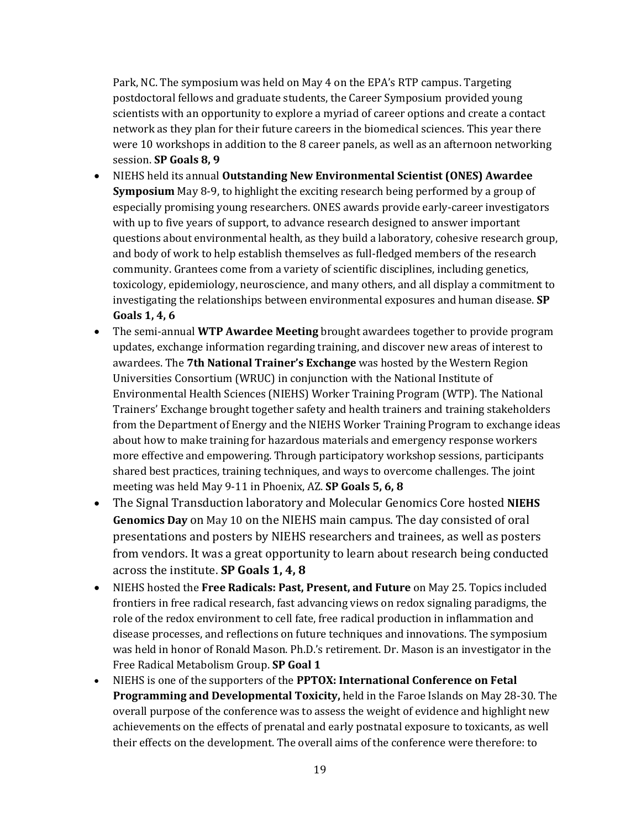Park, NC. The symposium was held on May 4 on the EPA's RTP campus. Targeting postdoctoral fellows and graduate students, the Career Symposium provided young scientists with an opportunity to explore a myriad of career options and create a contact network as they plan for their future careers in the biomedical sciences. This year there were 10 workshops in addition to the 8 career panels, as well as an afternoon networking session. **SP Goals 8, 9**

- NIEHS held its annual **Outstanding New Environmental Scientist (ONES) Awardee Symposium** May 8-9, to highlight the exciting research being performed by a group of especially promising young researchers. ONES awards provide early-career investigators with up to five years of support, to advance research designed to answer important questions about environmental health, as they build a laboratory, cohesive research group, and body of work to help establish themselves as full-fledged members of the research community. Grantees come from a variety of scientific disciplines, including genetics, toxicology, epidemiology, neuroscience, and many others, and all display a commitment to investigating the relationships between environmental exposures and human disease. **SP Goals 1, 4, 6**
- The semi-annual **WTP Awardee Meeting** brought awardees together to provide program updates, exchange information regarding training, and discover new areas of interest to awardees. The **7th National Trainer's Exchange** was hosted by the Western Region Universities Consortium (WRUC) in conjunction with the National Institute of Environmental Health Sciences (NIEHS) Worker Training Program (WTP). The National Trainers' Exchange brought together safety and health trainers and training stakeholders from the Department of Energy and the NIEHS Worker Training Program to exchange ideas about how to make training for hazardous materials and emergency response workers more effective and empowering. Through participatory workshop sessions, participants shared best practices, training techniques, and ways to overcome challenges. The joint meeting was held May 9-11 in Phoenix, AZ. **SP Goals 5, 6, 8**
- The Signal Transduction laboratory and Molecular Genomics Core hosted **NIEHS Genomics Day** on May 10 on the NIEHS main campus. The day consisted of oral presentations and posters by NIEHS researchers and trainees, as well as posters from vendors. It was a great opportunity to learn about research being conducted across the institute. **SP Goals 1, 4, 8**
- NIEHS hosted the **Free Radicals: Past, Present, and Future** on May 25. Topics included frontiers in free radical research, fast advancing views on redox signaling paradigms, the role of the redox environment to cell fate, free radical production in inflammation and disease processes, and reflections on future techniques and innovations. The symposium was held in honor of Ronald Mason. Ph.D.'s retirement. Dr. Mason is an investigator in the Free Radical Metabolism Group. **SP Goal 1**
- NIEHS is one of the supporters of the **PPTOX: International Conference on Fetal Programming and Developmental Toxicity,** held in the Faroe Islands on May 28-30. The overall purpose of the conference was to assess the weight of evidence and highlight new achievements on the effects of prenatal and early postnatal exposure to toxicants, as well their effects on the development. The overall aims of the conference were therefore: to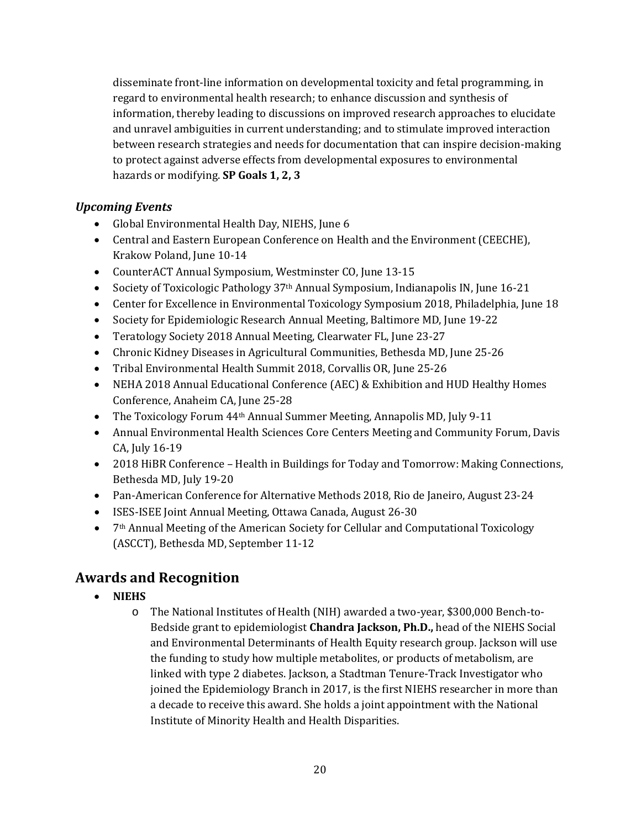disseminate front-line information on developmental toxicity and fetal programming, in regard to environmental health research; to enhance discussion and synthesis of information, thereby leading to discussions on improved research approaches to elucidate and unravel ambiguities in current understanding; and to stimulate improved interaction between research strategies and needs for documentation that can inspire decision-making to protect against adverse effects from developmental exposures to environmental hazards or modifying. **SP Goals 1, 2, 3**

## *Upcoming Events*

- Global Environmental Health Day, NIEHS, June 6
- Central and Eastern European Conference on Health and the Environment (CEECHE), Krakow Poland, June 10-14
- CounterACT Annual Symposium, Westminster CO, June 13-15
- Society of Toxicologic Pathology 37<sup>th</sup> Annual Symposium, Indianapolis IN, June 16-21
- Center for Excellence in Environmental Toxicology Symposium 2018, Philadelphia, June 18
- Society for Epidemiologic Research Annual Meeting, Baltimore MD, June 19-22
- Teratology Society 2018 Annual Meeting, Clearwater FL, June 23-27
- Chronic Kidney Diseases in Agricultural Communities, Bethesda MD, June 25-26
- Tribal Environmental Health Summit 2018, Corvallis OR, June 25-26
- NEHA 2018 Annual Educational Conference (AEC) & Exhibition and HUD Healthy Homes Conference, Anaheim CA, June 25-28
- The Toxicology Forum 44<sup>th</sup> Annual Summer Meeting, Annapolis MD, July 9-11
- Annual Environmental Health Sciences Core Centers Meeting and Community Forum, Davis CA, July 16-19
- 2018 HiBR Conference Health in Buildings for Today and Tomorrow: Making Connections, Bethesda MD, July 19-20
- Pan-American Conference for Alternative Methods 2018, Rio de Janeiro, August 23-24
- ISES-ISEE Joint Annual Meeting, Ottawa Canada, August 26-30
- 7<sup>th</sup> Annual Meeting of the American Society for Cellular and Computational Toxicology (ASCCT), Bethesda MD, September 11-12

# **Awards and Recognition**

- **NIEHS**
	- o The National Institutes of Health (NIH) awarded a two-year, \$300,000 Bench-to-Bedside grant to epidemiologist **Chandra Jackson, Ph.D.,** head of the NIEHS Social and Environmental Determinants of Health Equity research group. Jackson will use the funding to study how multiple metabolites, or products of metabolism, are linked with type 2 diabetes. Jackson, a Stadtman Tenure-Track Investigator who joined the Epidemiology Branch in 2017, is the first NIEHS researcher in more than a decade to receive this award. She holds a joint appointment with the National Institute of Minority Health and Health Disparities.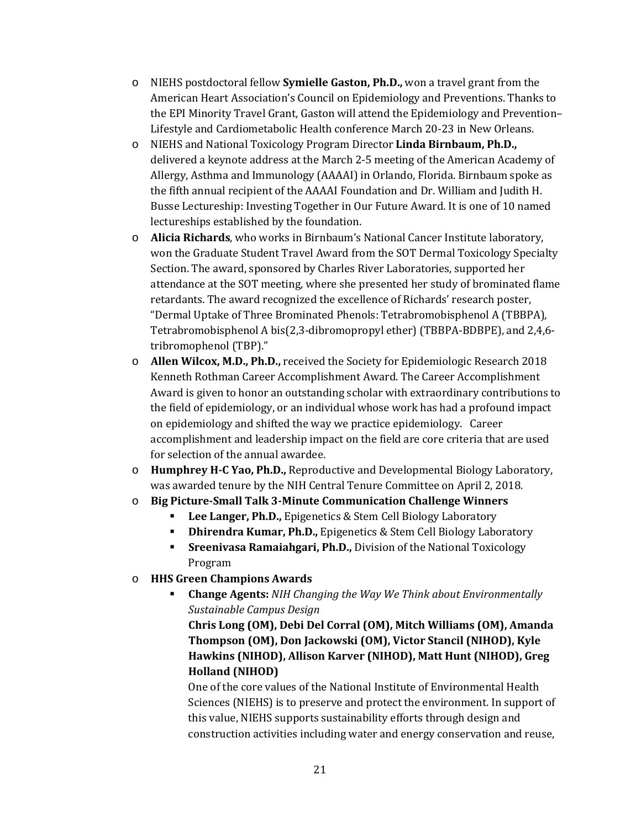- o NIEHS postdoctoral fellow **Symielle Gaston, Ph.D.,** won a travel grant from the American Heart Association's Council on Epidemiology and Preventions. Thanks to the EPI Minority Travel Grant, Gaston will attend the Epidemiology and Prevention– Lifestyle and Cardiometabolic Health conference March 20-23 in New Orleans.
- o NIEHS and National Toxicology Program Director **Linda Birnbaum, Ph.D.,** delivered a keynote address at the March 2-5 meeting of the American Academy of Allergy, Asthma and Immunology (AAAAI) in Orlando, Florida. Birnbaum spoke as the fifth annual recipient of the AAAAI Foundation and Dr. William and Judith H. Busse Lectureship: Investing Together in Our Future Award. It is one of 10 named lectureships established by the foundation.
- o **Alicia Richards**, who works in Birnbaum's National Cancer Institute laboratory, won the Graduate Student Travel Award from the SOT Dermal Toxicology Specialty Section. The award, sponsored by Charles River Laboratories, supported her attendance at the SOT meeting, where she presented her study of brominated flame retardants. The award recognized the excellence of Richards' research poster, "Dermal Uptake of Three Brominated Phenols: Tetrabromobisphenol A (TBBPA), Tetrabromobisphenol A bis(2,3-dibromopropyl ether) (TBBPA-BDBPE), and 2,4,6 tribromophenol (TBP)."
- o **Allen Wilcox, M.D., Ph.D.,** received the Society for Epidemiologic Research 2018 Kenneth Rothman Career Accomplishment Award. The Career Accomplishment Award is given to honor an outstanding scholar with extraordinary contributions to the field of epidemiology, or an individual whose work has had a profound impact on epidemiology and shifted the way we practice epidemiology. Career accomplishment and leadership impact on the field are core criteria that are used for selection of the annual awardee.
- o **Humphrey H-C Yao, Ph.D.,** Reproductive and Developmental Biology Laboratory, was awarded tenure by the NIH Central Tenure Committee on April 2, 2018.
- o **Big Picture-Small Talk 3-Minute Communication Challenge Winners**
	- **Lee Langer, Ph.D.,** Epigenetics & Stem Cell Biology Laboratory
	- **-** Dhirendra Kumar, Ph.D., Epigenetics & Stem Cell Biology Laboratory
	- **Similary Sreenivasa Ramaiahgari, Ph.D.,** Division of the National Toxicology Program
- o **HHS Green Champions Awards**
	- **Change Agents:** *NIH Changing the Way We Think about Environmentally Sustainable Campus Design*

**Chris Long (OM), Debi Del Corral (OM), Mitch Williams (OM), Amanda Thompson (OM), Don Jackowski (OM), Victor Stancil (NIHOD), Kyle Hawkins (NIHOD), Allison Karver (NIHOD), Matt Hunt (NIHOD), Greg Holland (NIHOD)**

One of the core values of the National Institute of Environmental Health Sciences (NIEHS) is to preserve and protect the environment. In support of this value, NIEHS supports sustainability efforts through design and construction activities including water and energy conservation and reuse,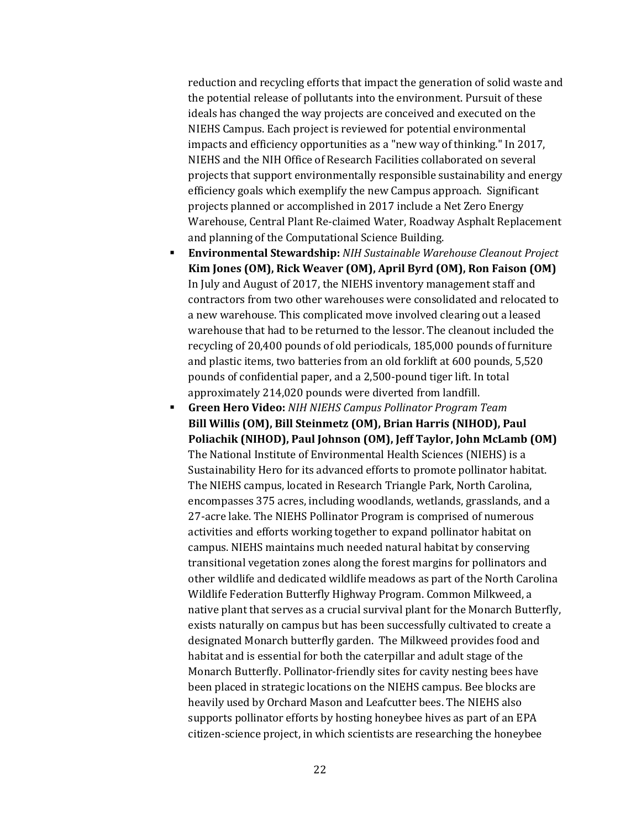reduction and recycling efforts that impact the generation of solid waste and the potential release of pollutants into the environment. Pursuit of these ideals has changed the way projects are conceived and executed on the NIEHS Campus. Each project is reviewed for potential environmental impacts and efficiency opportunities as a "new way of thinking." In 2017, NIEHS and the NIH Office of Research Facilities collaborated on several projects that support environmentally responsible sustainability and energy efficiency goals which exemplify the new Campus approach. Significant projects planned or accomplished in 2017 include a Net Zero Energy Warehouse, Central Plant Re-claimed Water, Roadway Asphalt Replacement and planning of the Computational Science Building.

- **Environmental Stewardship:** *NIH Sustainable Warehouse Cleanout Project* **Kim Jones (OM), Rick Weaver (OM), April Byrd (OM), Ron Faison (OM)** In July and August of 2017, the NIEHS inventory management staff and contractors from two other warehouses were consolidated and relocated to a new warehouse. This complicated move involved clearing out a leased warehouse that had to be returned to the lessor. The cleanout included the recycling of 20,400 pounds of old periodicals, 185,000 pounds of furniture and plastic items, two batteries from an old forklift at 600 pounds, 5,520 pounds of confidential paper, and a 2,500-pound tiger lift. In total approximately 214,020 pounds were diverted from landfill.
- **Green Hero Video:** *NIH NIEHS Campus Pollinator Program Team* **Bill Willis (OM), Bill Steinmetz (OM), Brian Harris (NIHOD), Paul Poliachik (NIHOD), Paul Johnson (OM), Jeff Taylor, John McLamb (OM)** The National Institute of Environmental Health Sciences (NIEHS) is a Sustainability Hero for its advanced efforts to promote pollinator habitat. The NIEHS campus, located in Research Triangle Park, North Carolina, encompasses 375 acres, including woodlands, wetlands, grasslands, and a 27-acre lake. The NIEHS Pollinator Program is comprised of numerous activities and efforts working together to expand pollinator habitat on campus. NIEHS maintains much needed natural habitat by conserving transitional vegetation zones along the forest margins for pollinators and other wildlife and dedicated wildlife meadows as part of the North Carolina Wildlife Federation Butterfly Highway Program. Common Milkweed, a native plant that serves as a crucial survival plant for the Monarch Butterfly, exists naturally on campus but has been successfully cultivated to create a designated Monarch butterfly garden. The Milkweed provides food and habitat and is essential for both the caterpillar and adult stage of the Monarch Butterfly. Pollinator-friendly sites for cavity nesting bees have been placed in strategic locations on the NIEHS campus. Bee blocks are heavily used by Orchard Mason and Leafcutter bees. The NIEHS also supports pollinator efforts by hosting honeybee hives as part of an EPA citizen-science project, in which scientists are researching the honeybee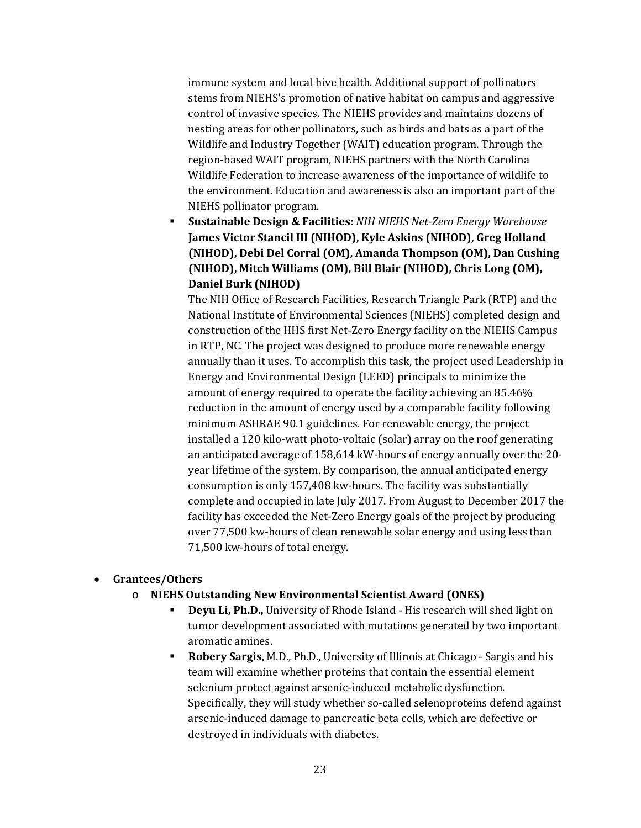immune system and local hive health. Additional support of pollinators stems from NIEHS's promotion of native habitat on campus and aggressive control of invasive species. The NIEHS provides and maintains dozens of nesting areas for other pollinators, such as birds and bats as a part of the Wildlife and Industry Together (WAIT) education program. Through the region-based WAIT program, NIEHS partners with the North Carolina Wildlife Federation to increase awareness of the importance of wildlife to the environment. Education and awareness is also an important part of the NIEHS pollinator program.

 **Sustainable Design & Facilities:** *NIH NIEHS Net-Zero Energy Warehouse* **James Victor Stancil III (NIHOD), Kyle Askins (NIHOD), Greg Holland (NIHOD), Debi Del Corral (OM), Amanda Thompson (OM), Dan Cushing (NIHOD), Mitch Williams (OM), Bill Blair (NIHOD), Chris Long (OM), Daniel Burk (NIHOD)**

The NIH Office of Research Facilities, Research Triangle Park (RTP) and the National Institute of Environmental Sciences (NIEHS) completed design and construction of the HHS first Net-Zero Energy facility on the NIEHS Campus in RTP, NC. The project was designed to produce more renewable energy annually than it uses. To accomplish this task, the project used Leadership in Energy and Environmental Design (LEED) principals to minimize the amount of energy required to operate the facility achieving an 85.46% reduction in the amount of energy used by a comparable facility following minimum ASHRAE 90.1 guidelines. For renewable energy, the project installed a 120 kilo-watt photo-voltaic (solar) array on the roof generating an anticipated average of 158,614 kW-hours of energy annually over the 20 year lifetime of the system. By comparison, the annual anticipated energy consumption is only 157,408 kw-hours. The facility was substantially complete and occupied in late July 2017. From August to December 2017 the facility has exceeded the Net-Zero Energy goals of the project by producing over 77,500 kw-hours of clean renewable solar energy and using less than 71,500 kw-hours of total energy.

#### • **Grantees/Others**

- o **NIEHS Outstanding New Environmental Scientist Award (ONES)**
	- **Deyu Li, Ph.D.,** University of Rhode Island His research will shed light on tumor development associated with mutations generated by two important aromatic amines.
	- **Robery Sargis,** M.D., Ph.D., University of Illinois at Chicago Sargis and his team will examine whether proteins that contain the essential element selenium protect against arsenic-induced metabolic dysfunction. Specifically, they will study whether so-called selenoproteins defend against arsenic-induced damage to pancreatic beta cells, which are defective or destroyed in individuals with diabetes.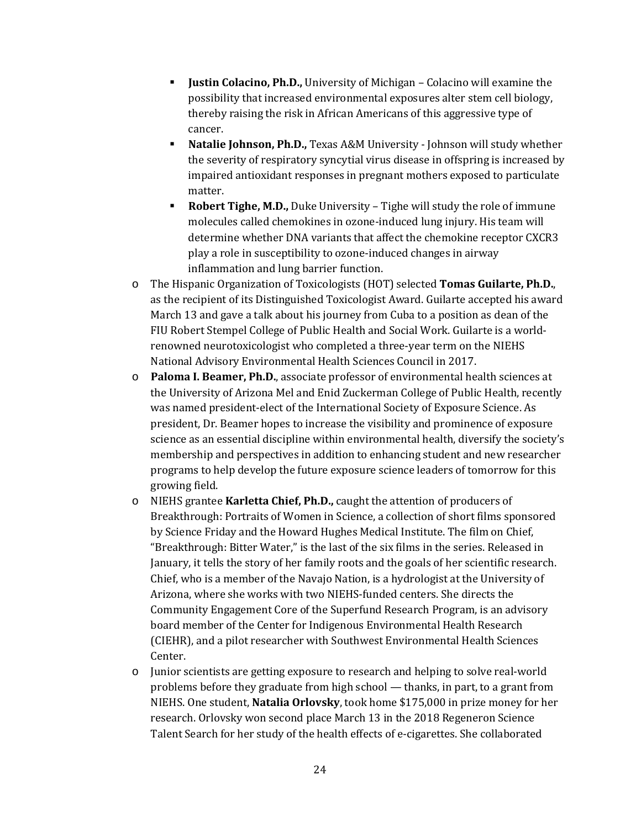- **Justin Colacino, Ph.D.,** University of Michigan Colacino will examine the possibility that increased environmental exposures alter stem cell biology, thereby raising the risk in African Americans of this aggressive type of cancer.
- **Natalie Johnson, Ph.D.,** Texas A&M University Johnson will study whether the severity of respiratory syncytial virus disease in offspring is increased by impaired antioxidant responses in pregnant mothers exposed to particulate matter.
- **Robert Tighe, M.D.,** Duke University Tighe will study the role of immune molecules called chemokines in ozone-induced lung injury. His team will determine whether DNA variants that affect the chemokine receptor CXCR3 play a role in susceptibility to ozone-induced changes in airway inflammation and lung barrier function.
- o The Hispanic Organization of Toxicologists (HOT) selected **Tomas Guilarte, Ph.D.**, as the recipient of its Distinguished Toxicologist Award. Guilarte accepted his award March 13 and gave a talk about his journey from Cuba to a position as dean of the FIU Robert Stempel College of Public Health and Social Work. Guilarte is a worldrenowned neurotoxicologist who completed a three-year term on the NIEHS National Advisory Environmental Health Sciences Council in 2017.
- o **Paloma I. Beamer, Ph.D.**, associate professor of environmental health sciences at the University of Arizona Mel and Enid Zuckerman College of Public Health, recently was named president-elect of the International Society of Exposure Science. As president, Dr. Beamer hopes to increase the visibility and prominence of exposure science as an essential discipline within environmental health, diversify the society's membership and perspectives in addition to enhancing student and new researcher programs to help develop the future exposure science leaders of tomorrow for this growing field.
- o NIEHS grantee **Karletta Chief, Ph.D.,** caught the attention of producers of Breakthrough: Portraits of Women in Science, a collection of short films sponsored by Science Friday and the Howard Hughes Medical Institute. The film on Chief, "Breakthrough: Bitter Water," is the last of the six films in the series. Released in January, it tells the story of her family roots and the goals of her scientific research. Chief, who is a member of the Navajo Nation, is a hydrologist at the University of Arizona, where she works with two NIEHS-funded centers. She directs the Community Engagement Core of the Superfund Research Program, is an advisory board member of the Center for Indigenous Environmental Health Research (CIEHR), and a pilot researcher with Southwest Environmental Health Sciences Center.
- o Junior scientists are getting exposure to research and helping to solve real-world problems before they graduate from high school — thanks, in part, to a grant from NIEHS. One student, **Natalia Orlovsky**, took home \$175,000 in prize money for her research. Orlovsky won second place March 13 in the 2018 Regeneron Science Talent Search for her study of the health effects of e-cigarettes. She collaborated